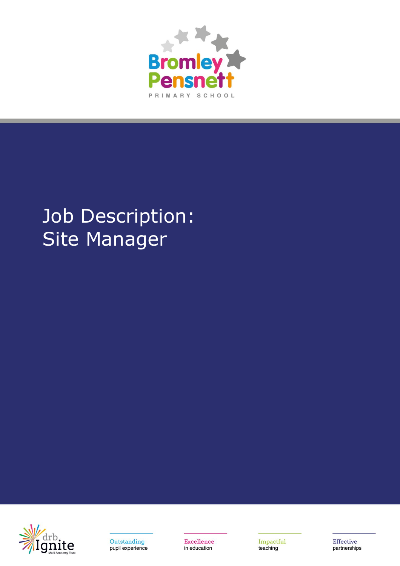

# Job Description: Site Manager





**Excellence** in education

Impactful teaching

**Effective** partnerships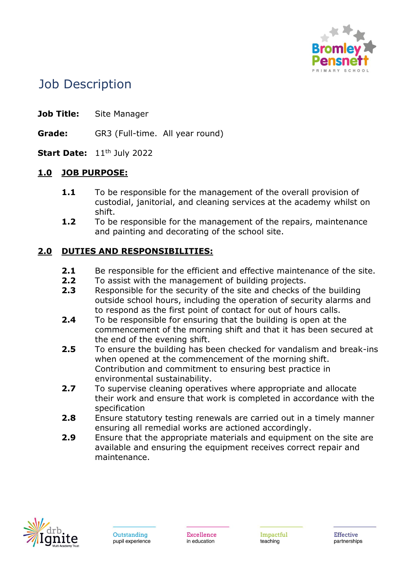

# Job Description

- **Job Title:** Site Manager
- **Grade:** GR3 (Full-time. All year round)
- **Start Date:** 11<sup>th</sup> July 2022

#### **1.0 JOB PURPOSE:**

- **1.1** To be responsible for the management of the overall provision of custodial, janitorial, and cleaning services at the academy whilst on shift.
- **1.2** To be responsible for the management of the repairs, maintenance and painting and decorating of the school site.

## **2.0 DUTIES AND RESPONSIBILITIES:**

- **2.1** Be responsible for the efficient and effective maintenance of the site.
- **2.2** To assist with the management of building projects.
- **2.3** Responsible for the security of the site and checks of the building outside school hours, including the operation of security alarms and to respond as the first point of contact for out of hours calls.
- **2.4** To be responsible for ensuring that the building is open at the commencement of the morning shift and that it has been secured at the end of the evening shift.
- **2.5** To ensure the building has been checked for vandalism and break-ins when opened at the commencement of the morning shift. Contribution and commitment to ensuring best practice in environmental sustainability.
- **2.7** To supervise cleaning operatives where appropriate and allocate their work and ensure that work is completed in accordance with the specification
- **2.8** Ensure statutory testing renewals are carried out in a timely manner ensuring all remedial works are actioned accordingly.
- **2.9** Ensure that the appropriate materials and equipment on the site are available and ensuring the equipment receives correct repair and maintenance.

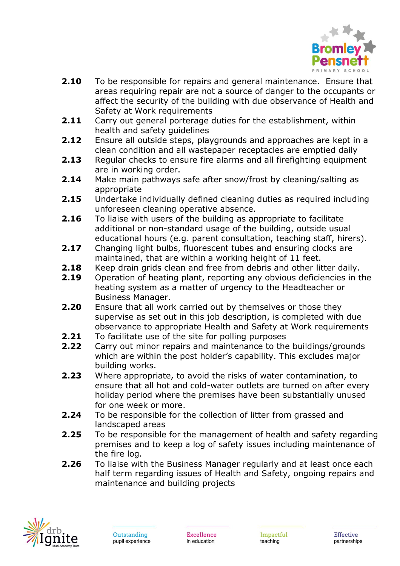

- **2.10** To be responsible for repairs and general maintenance. Ensure that areas requiring repair are not a source of danger to the occupants or affect the security of the building with due observance of Health and Safety at Work requirements
- **2.11** Carry out general porterage duties for the establishment, within health and safety guidelines
- **2.12** Ensure all outside steps, playgrounds and approaches are kept in a clean condition and all wastepaper receptacles are emptied daily
- **2.13** Regular checks to ensure fire alarms and all firefighting equipment are in working order.
- **2.14** Make main pathways safe after snow/frost by cleaning/salting as appropriate
- **2.15** Undertake individually defined cleaning duties as required including unforeseen cleaning operative absence.
- **2.16** To liaise with users of the building as appropriate to facilitate additional or non-standard usage of the building, outside usual educational hours (e.g. parent consultation, teaching staff, hirers).
- **2.17** Changing light bulbs, fluorescent tubes and ensuring clocks are maintained, that are within a working height of 11 feet.
- **2.18** Keep drain grids clean and free from debris and other litter daily.
- **2.19** Operation of heating plant, reporting any obvious deficiencies in the heating system as a matter of urgency to the Headteacher or Business Manager.
- **2.20** Ensure that all work carried out by themselves or those they supervise as set out in this job description, is completed with due observance to appropriate Health and Safety at Work requirements
- **2.21** To facilitate use of the site for polling purposes
- **2.22** Carry out minor repairs and maintenance to the buildings/grounds which are within the post holder's capability. This excludes major building works.
- **2.23** Where appropriate, to avoid the risks of water contamination, to ensure that all hot and cold-water outlets are turned on after every holiday period where the premises have been substantially unused for one week or more.
- **2.24** To be responsible for the collection of litter from grassed and landscaped areas
- **2.25** To be responsible for the management of health and safety regarding premises and to keep a log of safety issues including maintenance of the fire log.
- **2.26** To liaise with the Business Manager regularly and at least once each half term regarding issues of Health and Safety, ongoing repairs and maintenance and building projects